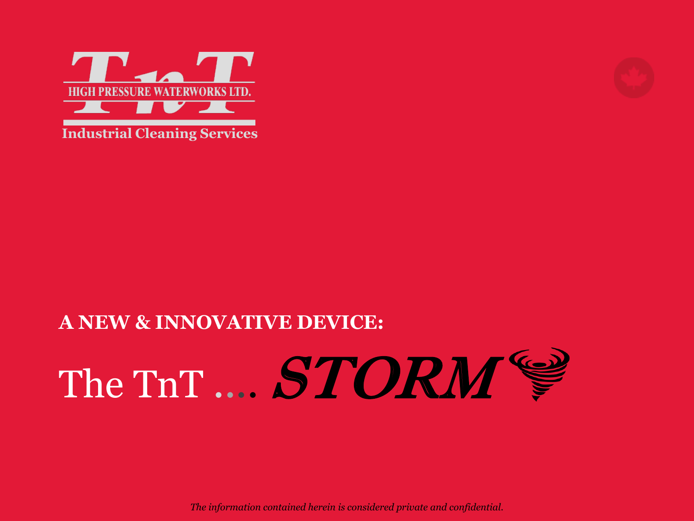

#### **Industrial Cleaning Services**

# **A NEW & INNOVATIVE DEVICE:** The TnT .... STORM

*The information contained herein is considered private and confidential.*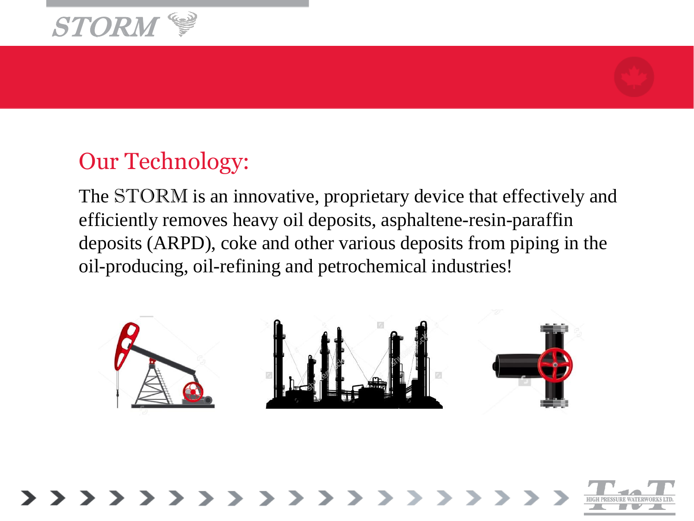



#### Our Technology:

The STORM is an innovative, proprietary device that effectively and efficiently removes heavy oil deposits, asphaltene-resin-paraffin deposits (ARPD), coke and other various deposits from piping in the oil-producing, oil-refining and petrochemical industries!



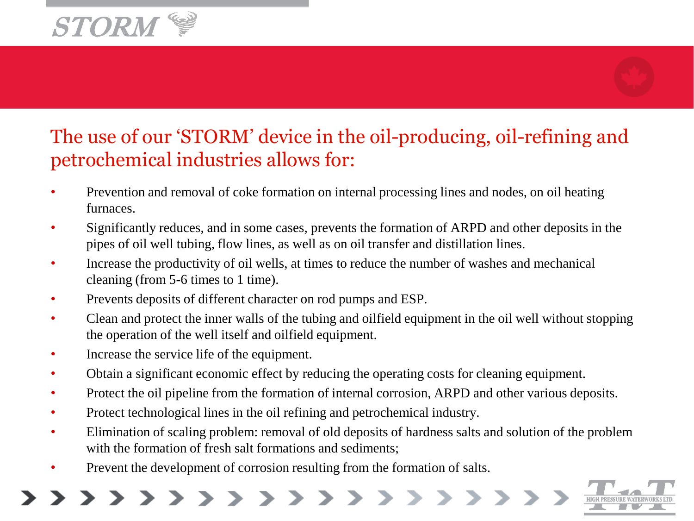

#### The use of our 'STORM' device in the oil-producing, oil-refining and petrochemical industries allows for:

- Prevention and removal of coke formation on internal processing lines and nodes, on oil heating furnaces.
- Significantly reduces, and in some cases, prevents the formation of ARPD and other deposits in the pipes of oil well tubing, flow lines, as well as on oil transfer and distillation lines.
- Increase the productivity of oil wells, at times to reduce the number of washes and mechanical cleaning (from 5-6 times to 1 time).
- Prevents deposits of different character on rod pumps and ESP.
- Clean and protect the inner walls of the tubing and oilfield equipment in the oil well without stopping the operation of the well itself and oilfield equipment.
- Increase the service life of the equipment.
- Obtain a significant economic effect by reducing the operating costs for cleaning equipment.
- Protect the oil pipeline from the formation of internal corrosion, ARPD and other various deposits.
- Protect technological lines in the oil refining and petrochemical industry.
- Elimination of scaling problem: removal of old deposits of hardness salts and solution of the problem with the formation of fresh salt formations and sediments;
- Prevent the development of corrosion resulting from the formation of salts.

>>>>>>>>>>>>>>>>>>>>

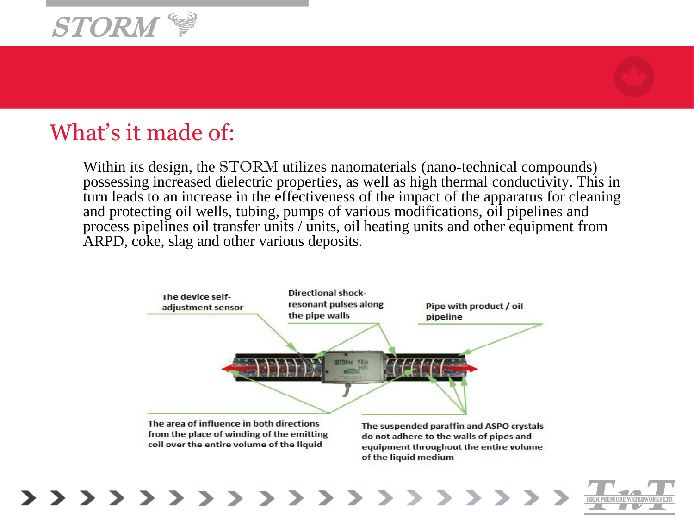



#### What's it made of:

>>>>>>>>>>>>

Within its design, the STORM utilizes nanomaterials (nano-technical compounds) possessing increased dielectric properties, as well as high thermal conductivity. This in turn leads to an increase in the effectiveness of the impact of the apparatus for cleaning and protecting oil wells, tubing, pumps of various modifications, oil pipelines and process pipelines oil transfer units / units, oil heating units and other equipment from ARPD, coke, slag and other various deposits.

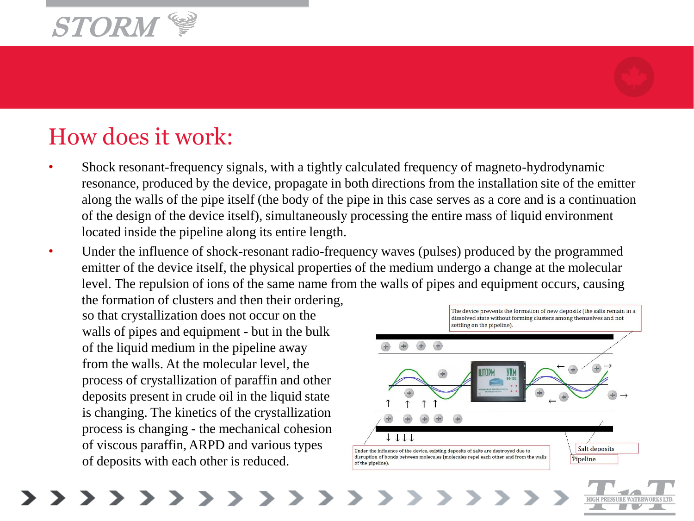

### How does it work:

- Shock resonant-frequency signals, with a tightly calculated frequency of magneto-hydrodynamic resonance, produced by the device, propagate in both directions from the installation site of the emitter along the walls of the pipe itself (the body of the pipe in this case serves as a core and is a continuation of the design of the device itself), simultaneously processing the entire mass of liquid environment located inside the pipeline along its entire length.
- Under the influence of shock-resonant radio-frequency waves (pulses) produced by the programmed emitter of the device itself, the physical properties of the medium undergo a change at the molecular level. The repulsion of ions of the same name from the walls of pipes and equipment occurs, causing

the formation of clusters and then their ordering, so that crystallization does not occur on the walls of pipes and equipment - but in the bulk of the liquid medium in the pipeline away from the walls. At the molecular level, the process of crystallization of paraffin and other deposits present in crude oil in the liquid state is changing. The kinetics of the crystallization process is changing - the mechanical cohesion of viscous paraffin, ARPD and various types of deposits with each other is reduced.



>>>>>>>>>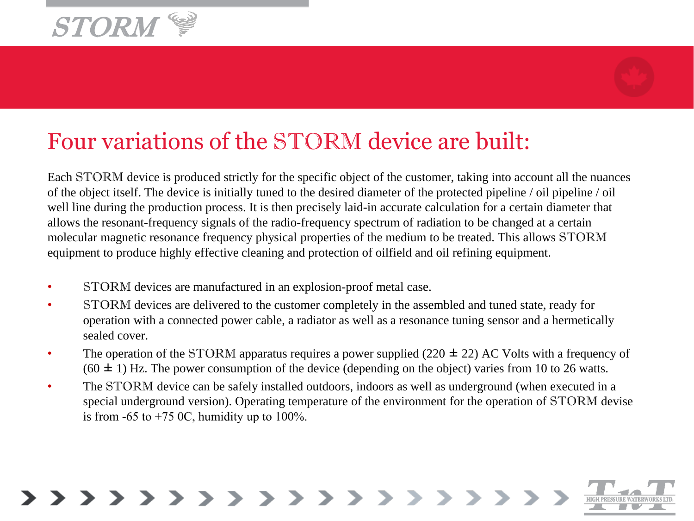



# Four variations of the STORM device are built:

Each STORM device is produced strictly for the specific object of the customer, taking into account all the nuances of the object itself. The device is initially tuned to the desired diameter of the protected pipeline / oil pipeline / oil well line during the production process. It is then precisely laid-in accurate calculation for a certain diameter that allows the resonant-frequency signals of the radio-frequency spectrum of radiation to be changed at a certain molecular magnetic resonance frequency physical properties of the medium to be treated. This allows STORM equipment to produce highly effective cleaning and protection of oilfield and oil refining equipment.

- STORM devices are manufactured in an explosion-proof metal case.
- STORM devices are delivered to the customer completely in the assembled and tuned state, ready for operation with a connected power cable, a radiator as well as a resonance tuning sensor and a hermetically sealed cover.
- The operation of the STORM apparatus requires a power supplied (220  $\pm$  22) AC Volts with a frequency of  $(60 \pm 1)$  Hz. The power consumption of the device (depending on the object) varies from 10 to 26 watts.
- The STORM device can be safely installed outdoors, indoors as well as underground (when executed in a special underground version). Operating temperature of the environment for the operation of STORM devise is from  $-65$  to  $+75$  OC, humidity up to  $100\%$ .

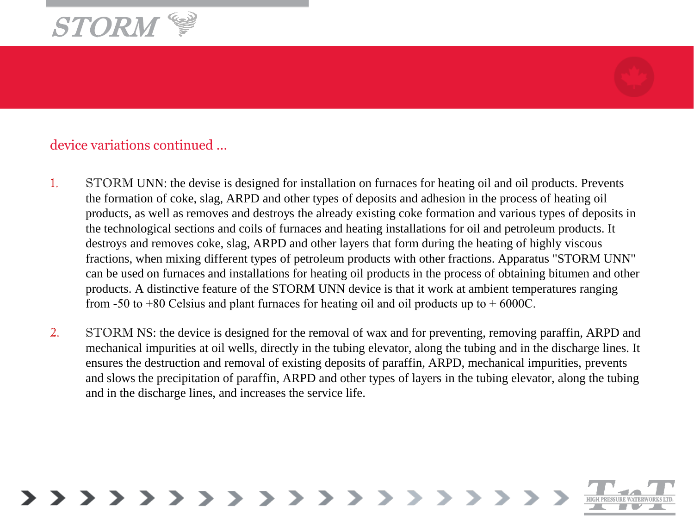



#### device variations continued …

- 1. STORM UNN: the devise is designed for installation on furnaces for heating oil and oil products. Prevents the formation of coke, slag, ARPD and other types of deposits and adhesion in the process of heating oil products, as well as removes and destroys the already existing coke formation and various types of deposits in the technological sections and coils of furnaces and heating installations for oil and petroleum products. It destroys and removes coke, slag, ARPD and other layers that form during the heating of highly viscous fractions, when mixing different types of petroleum products with other fractions. Apparatus "STORM UNN" can be used on furnaces and installations for heating oil products in the process of obtaining bitumen and other products. A distinctive feature of the STORM UNN device is that it work at ambient temperatures ranging from -50 to +80 Celsius and plant furnaces for heating oil and oil products up to  $+6000C$ .
- 2. STORM NS: the device is designed for the removal of wax and for preventing, removing paraffin, ARPD and mechanical impurities at oil wells, directly in the tubing elevator, along the tubing and in the discharge lines. It ensures the destruction and removal of existing deposits of paraffin, ARPD, mechanical impurities, prevents and slows the precipitation of paraffin, ARPD and other types of layers in the tubing elevator, along the tubing and in the discharge lines, and increases the service life.

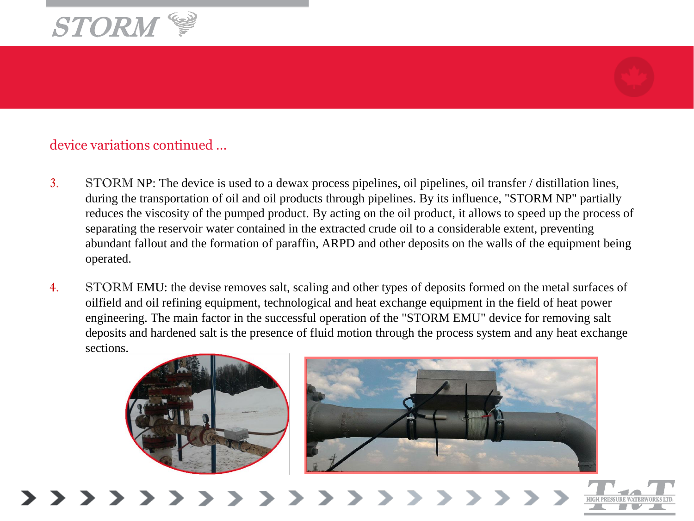



#### device variations continued …

- 3. STORM NP: The device is used to a dewax process pipelines, oil pipelines, oil transfer / distillation lines, during the transportation of oil and oil products through pipelines. By its influence, "STORM NP" partially reduces the viscosity of the pumped product. By acting on the oil product, it allows to speed up the process of separating the reservoir water contained in the extracted crude oil to a considerable extent, preventing abundant fallout and the formation of paraffin, ARPD and other deposits on the walls of the equipment being operated.
- 4. STORM EMU: the devise removes salt, scaling and other types of deposits formed on the metal surfaces of oilfield and oil refining equipment, technological and heat exchange equipment in the field of heat power engineering. The main factor in the successful operation of the "STORM EMU" device for removing salt deposits and hardened salt is the presence of fluid motion through the process system and any heat exchange sections.





>>>>>>>>>>>>>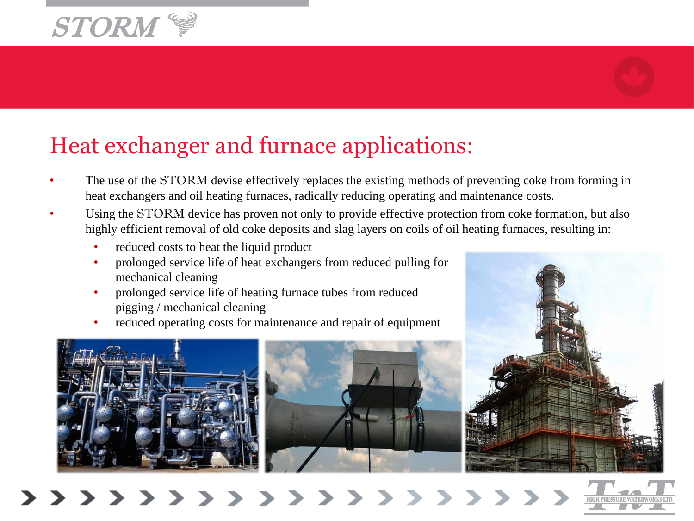



# Heat exchanger and furnace applications:

- The use of the STORM devise effectively replaces the existing methods of preventing coke from forming in heat exchangers and oil heating furnaces, radically reducing operating and maintenance costs.
- Using the STORM device has proven not only to provide effective protection from coke formation, but also highly efficient removal of old coke deposits and slag layers on coils of oil heating furnaces, resulting in:
	- reduced costs to heat the liquid product
	- prolonged service life of heat exchangers from reduced pulling for mechanical cleaning
	- prolonged service life of heating furnace tubes from reduced pigging / mechanical cleaning
	- reduced operating costs for maintenance and repair of equipment